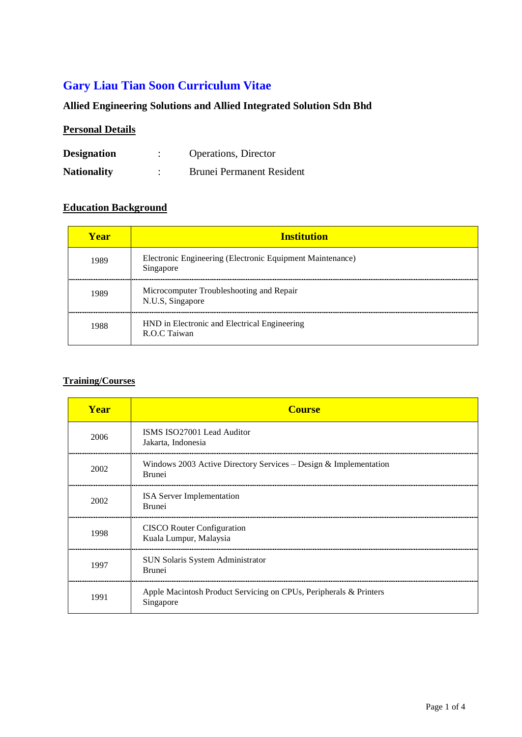# **Gary Liau Tian Soon Curriculum Vitae**

## **Allied Engineering Solutions and Allied Integrated Solution Sdn Bhd**

### **Personal Details**

| <b>Designation</b> | <b>Operations</b> , Director     |
|--------------------|----------------------------------|
| <b>Nationality</b> | <b>Brunei Permanent Resident</b> |

#### **Education Background**

| <b>Year</b> | <b>Institution</b>                                                     |
|-------------|------------------------------------------------------------------------|
| 1989        | Electronic Engineering (Electronic Equipment Maintenance)<br>Singapore |
| 1989        | Microcomputer Troubleshooting and Repair<br>N.U.S, Singapore           |
| 1988        | HND in Electronic and Electrical Engineering<br>R.O.C. Taiwan          |

## **Training/Courses**

| Year | <b>Course</b>                                                                     |
|------|-----------------------------------------------------------------------------------|
| 2006 | ISMS ISO27001 Lead Auditor<br>Jakarta, Indonesia                                  |
| 2002 | Windows 2003 Active Directory Services – Design & Implementation<br><b>Brunei</b> |
| 2002 | <b>ISA</b> Server Implementation<br><b>Brunei</b>                                 |
| 1998 | <b>CISCO</b> Router Configuration<br>Kuala Lumpur, Malaysia                       |
| 1997 | SUN Solaris System Administrator<br><b>Brunei</b>                                 |
| 1991 | Apple Macintosh Product Servicing on CPUs, Peripherals & Printers<br>Singapore    |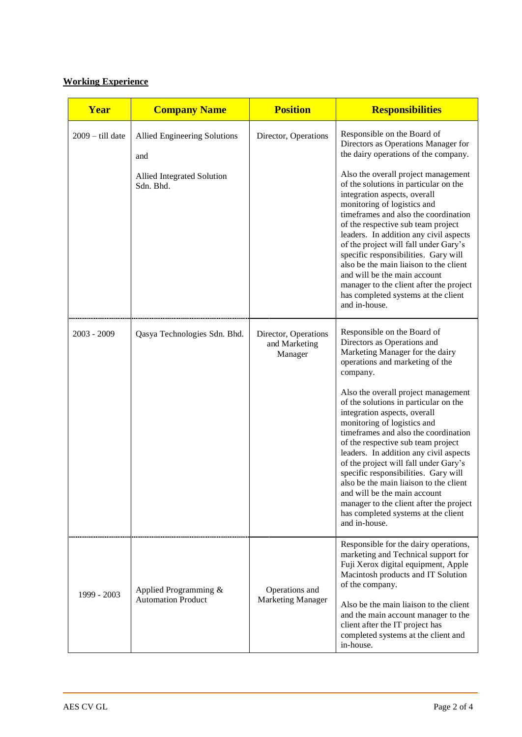#### **Working Experience**

| Year               | <b>Company Name</b>                                                            | <b>Position</b>                                  | <b>Responsibilities</b>                                                                                                                                                                                                                                                                                                                                                                                                                                                                                                                                                                                                                                                           |
|--------------------|--------------------------------------------------------------------------------|--------------------------------------------------|-----------------------------------------------------------------------------------------------------------------------------------------------------------------------------------------------------------------------------------------------------------------------------------------------------------------------------------------------------------------------------------------------------------------------------------------------------------------------------------------------------------------------------------------------------------------------------------------------------------------------------------------------------------------------------------|
| $2009 -$ till date | Allied Engineering Solutions<br>and<br>Allied Integrated Solution<br>Sdn. Bhd. | Director, Operations                             | Responsible on the Board of<br>Directors as Operations Manager for<br>the dairy operations of the company.<br>Also the overall project management<br>of the solutions in particular on the<br>integration aspects, overall<br>monitoring of logistics and<br>timeframes and also the coordination<br>of the respective sub team project<br>leaders. In addition any civil aspects<br>of the project will fall under Gary's<br>specific responsibilities. Gary will<br>also be the main liaison to the client<br>and will be the main account<br>manager to the client after the project<br>has completed systems at the client<br>and in-house.                                   |
| 2003 - 2009        | Qasya Technologies Sdn. Bhd.                                                   | Director, Operations<br>and Marketing<br>Manager | Responsible on the Board of<br>Directors as Operations and<br>Marketing Manager for the dairy<br>operations and marketing of the<br>company.<br>Also the overall project management<br>of the solutions in particular on the<br>integration aspects, overall<br>monitoring of logistics and<br>timeframes and also the coordination<br>of the respective sub team project<br>leaders. In addition any civil aspects<br>of the project will fall under Gary's<br>specific responsibilities. Gary will<br>also be the main liaison to the client<br>and will be the main account<br>manager to the client after the project<br>has completed systems at the client<br>and in-house. |
| 1999 - 2003        | Applied Programming &<br><b>Automation Product</b>                             | Operations and<br><b>Marketing Manager</b>       | Responsible for the dairy operations,<br>marketing and Technical support for<br>Fuji Xerox digital equipment, Apple<br>Macintosh products and IT Solution<br>of the company.<br>Also be the main liaison to the client<br>and the main account manager to the<br>client after the IT project has<br>completed systems at the client and<br>in-house.                                                                                                                                                                                                                                                                                                                              |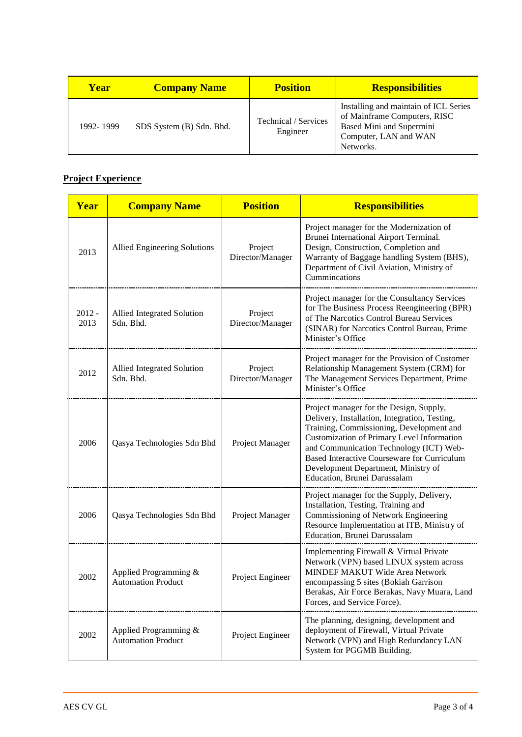| <b>Year</b> | <b>Company Name</b>      | <b>Position</b>                  | <b>Responsibilities</b>                                                                                                                 |
|-------------|--------------------------|----------------------------------|-----------------------------------------------------------------------------------------------------------------------------------------|
| 1992-1999   | SDS System (B) Sdn. Bhd. | Technical / Services<br>Engineer | Installing and maintain of ICL Series<br>of Mainframe Computers, RISC<br>Based Mini and Supermini<br>Computer, LAN and WAN<br>Networks. |

## **Project Experience**

| Year             | <b>Company Name</b>                                | <b>Position</b>             | <b>Responsibilities</b>                                                                                                                                                                                                                                                                                                                             |
|------------------|----------------------------------------------------|-----------------------------|-----------------------------------------------------------------------------------------------------------------------------------------------------------------------------------------------------------------------------------------------------------------------------------------------------------------------------------------------------|
| 2013             | <b>Allied Engineering Solutions</b>                | Project<br>Director/Manager | Project manager for the Modernization of<br>Brunei International Airport Terminal.<br>Design, Construction, Completion and<br>Warranty of Baggage handling System (BHS),<br>Department of Civil Aviation, Ministry of<br>Cummincations                                                                                                              |
| $2012 -$<br>2013 | Allied Integrated Solution<br>Sdn. Bhd.            | Project<br>Director/Manager | Project manager for the Consultancy Services<br>for The Business Process Reengineering (BPR)<br>of The Narcotics Control Bureau Services<br>(SINAR) for Narcotics Control Bureau, Prime<br>Minister's Office                                                                                                                                        |
| 2012             | Allied Integrated Solution<br>Sdn. Bhd.            | Project<br>Director/Manager | Project manager for the Provision of Customer<br>Relationship Management System (CRM) for<br>The Management Services Department, Prime<br>Minister's Office                                                                                                                                                                                         |
| 2006             | Qasya Technologies Sdn Bhd                         | Project Manager             | Project manager for the Design, Supply,<br>Delivery, Installation, Integration, Testing,<br>Training, Commissioning, Development and<br>Customization of Primary Level Information<br>and Communication Technology (ICT) Web-<br>Based Interactive Courseware for Curriculum<br>Development Department, Ministry of<br>Education, Brunei Darussalam |
| 2006             | Qasya Technologies Sdn Bhd                         | Project Manager             | Project manager for the Supply, Delivery,<br>Installation, Testing, Training and<br>Commissioning of Network Engineering<br>Resource Implementation at ITB, Ministry of<br>Education, Brunei Darussalam                                                                                                                                             |
| 2002             | Applied Programming &<br><b>Automation Product</b> | Project Engineer            | Implementing Firewall & Virtual Private<br>Network (VPN) based LINUX system across<br>MINDEF MAKUT Wide Area Network<br>encompassing 5 sites (Bokiah Garrison<br>Berakas, Air Force Berakas, Navy Muara, Land<br>Forces, and Service Force).                                                                                                        |
| 2002             | Applied Programming &<br><b>Automation Product</b> | Project Engineer            | The planning, designing, development and<br>deployment of Firewall, Virtual Private<br>Network (VPN) and High Redundancy LAN<br>System for PGGMB Building.                                                                                                                                                                                          |